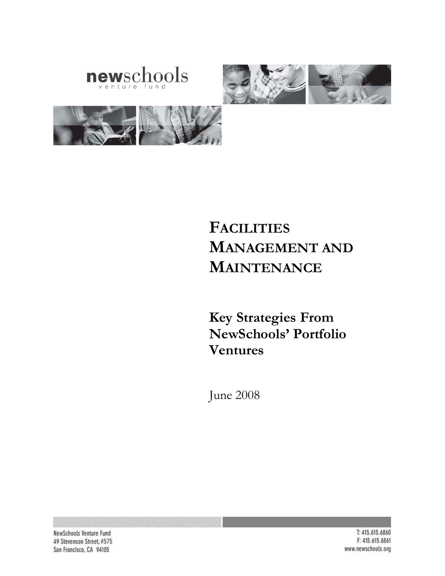







# **FACILITIES MANAGEMENT AND MAINTENANCE**

**Key Strategies From NewSchools' Portfolio Ventures** 

June 2008

NewSchools Venture Fund 49 Stevenson Street, #575 San Francisco, CA 94105

T: 415.615.6860 F: 415.615.6861 www.newschools.org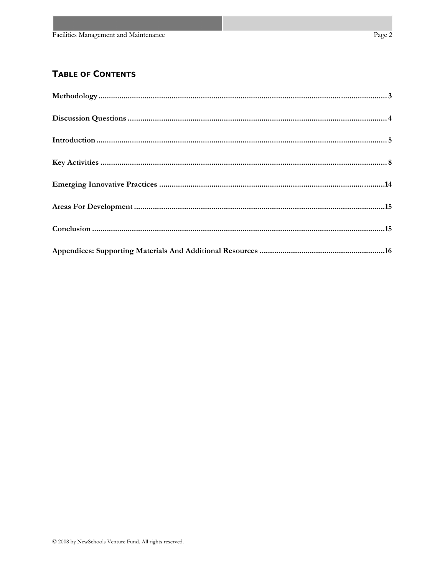### **TABLE OF CONTENTS**

| $\label{prop:nonlinear} \textbf{Introduction} \textcolor{red}{\textbf{.\textbf{1}}}\textbf{.\textbf{1}} \textbf{.} \textbf{.} \textbf{.} \textbf{.} \textbf{.} \textbf{.} \textbf{.} \textbf{.} \textbf{.} \textbf{.} \textbf{.} \textbf{.} \textbf{.} \textbf{.} \textbf{.} \textbf{.} \textbf{.} \textbf{.} \textbf{.} \textbf{.} \textbf{.} \textbf{.} \textbf{.} \textbf{.} \textbf{.} \textbf{.} \textbf{.} \textbf{.} \textbf{.} \textbf{.}$ |  |
|----------------------------------------------------------------------------------------------------------------------------------------------------------------------------------------------------------------------------------------------------------------------------------------------------------------------------------------------------------------------------------------------------------------------------------------------------|--|
|                                                                                                                                                                                                                                                                                                                                                                                                                                                    |  |
|                                                                                                                                                                                                                                                                                                                                                                                                                                                    |  |
|                                                                                                                                                                                                                                                                                                                                                                                                                                                    |  |
|                                                                                                                                                                                                                                                                                                                                                                                                                                                    |  |
|                                                                                                                                                                                                                                                                                                                                                                                                                                                    |  |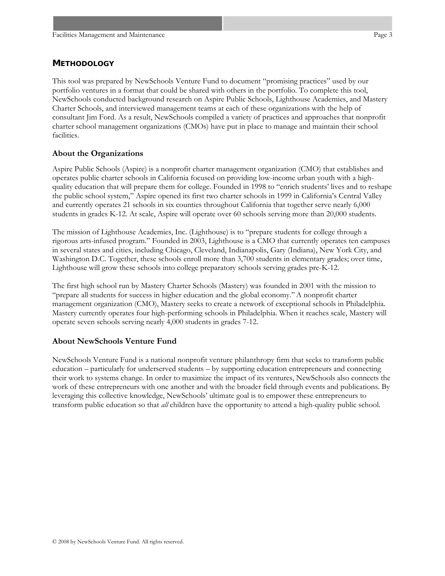<span id="page-2-0"></span>This tool was prepared by NewSchools Venture Fund to document "promising practices" used by our portfolio ventures in a format that could be shared with others in the portfolio. To complete this tool, NewSchools conducted background research on Aspire Public Schools, Lighthouse Academies, and Mastery Charter Schools, and interviewed management teams at each of these organizations with the help of consultant Jim Ford. As a result, NewSchools compiled a variety of practices and approaches that nonprofit charter school management organizations (CMOs) have put in place to manage and maintain their school facilities.

#### **About the Organizations**

Aspire Public Schools (Aspire) is a nonprofit charter management organization (CMO) that establishes and operates public charter schools in California focused on providing low-income urban youth with a highquality education that will prepare them for college. Founded in 1998 to "enrich students' lives and to reshape the public school system," Aspire opened its first two charter schools in 1999 in California's Central Valley and currently operates 21 schools in six counties throughout California that together serve nearly 6,000 students in grades K-12. At scale, Aspire will operate over 60 schools serving more than 20,000 students.

The mission of Lighthouse Academies, Inc. (Lighthouse) is to "prepare students for college through a rigorous arts-infused program." Founded in 2003, Lighthouse is a CMO that currently operates ten campuses in several states and cities, including Chicago, Cleveland, Indianapolis, Gary (Indiana), New York City, and Washington D.C. Together, these schools enroll more than 3,700 students in elementary grades; over time, Lighthouse will grow these schools into college preparatory schools serving grades pre-K-12.

The first high school run by Mastery Charter Schools (Mastery) was founded in 2001 with the mission to "prepare all students for success in higher education and the global economy."A nonprofit charter management organization (CMO), Mastery seeks to create a network of exceptional schools in Philadelphia. Mastery currently operates four high-performing schools in Philadelphia. When it reaches scale, Mastery will operate seven schools serving nearly 4,000 students in grades 7-12.

#### **About NewSchools Venture Fund**

NewSchools Venture Fund is a national nonprofit venture philanthropy firm that seeks to transform public education – particularly for underserved students – by supporting education entrepreneurs and connecting their work to systems change. In order to maximize the impact of its ventures, NewSchools also connects the work of these entrepreneurs with one another and with the broader field through events and publications. By leveraging this collective knowledge, NewSchools' ultimate goal is to empower these entrepreneurs to transform public education so that *all* children have the opportunity to attend a high-quality public school.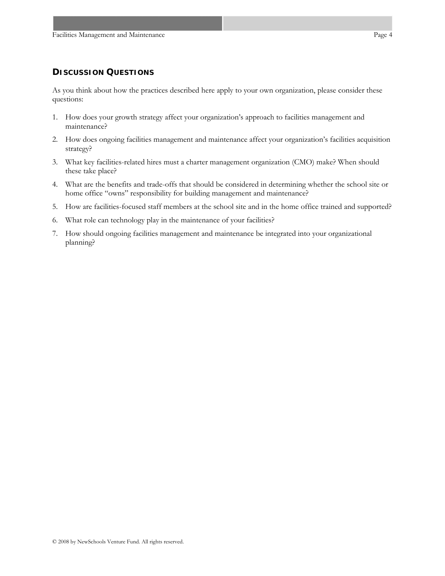#### <span id="page-3-0"></span>**DISCUSSION QUESTIONS**

As you think about how the practices described here apply to your own organization, please consider these questions:

- 1. How does your growth strategy affect your organization's approach to facilities management and maintenance?
- 2. How does ongoing facilities management and maintenance affect your organization's facilities acquisition strategy?
- 3. What key facilities-related hires must a charter management organization (CMO) make? When should these take place?
- 4. What are the benefits and trade-offs that should be considered in determining whether the school site or home office "owns" responsibility for building management and maintenance?
- 5. How are facilities-focused staff members at the school site and in the home office trained and supported?
- 6. What role can technology play in the maintenance of your facilities?
- 7. How should ongoing facilities management and maintenance be integrated into your organizational planning?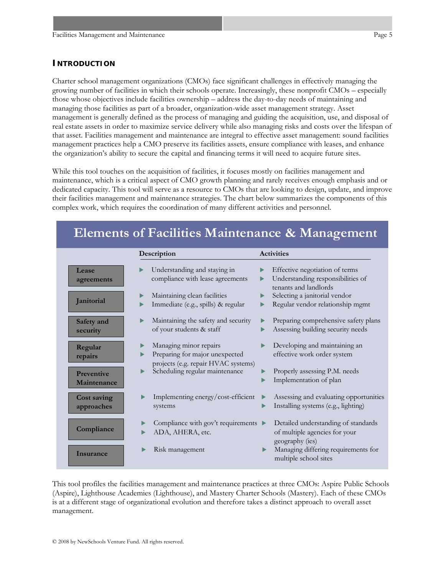#### <span id="page-4-0"></span>**INTRODUCTION**

Charter school management organizations (CMOs) face significant challenges in effectively managing the growing number of facilities in which their schools operate. Increasingly, these nonprofit CMOs – especially those whose objectives include facilities ownership – address the day-to-day needs of maintaining and managing those facilities as part of a broader, organization-wide asset management strategy. Asset management is generally defined as the process of managing and guiding the acquisition, use, and disposal of real estate assets in order to maximize service delivery while also managing risks and costs over the lifespan of that asset. Facilities management and maintenance are integral to effective asset management: sound facilities management practices help a CMO preserve its facilities assets, ensure compliance with leases, and enhance the organization's ability to secure the capital and financing terms it will need to acquire future sites.

While this tool touches on the acquisition of facilities, it focuses mostly on facilities management and maintenance, which is a critical aspect of CMO growth planning and rarely receives enough emphasis and or dedicated capacity. This tool will serve as a resource to CMOs that are looking to design, update, and improve their facilities management and maintenance strategies. The chart below summarizes the components of this complex work, which requires the coordination of many different activities and personnel.

| Elements of Facilities Maintenance & Management |                                                                                                 |                                                                                              |  |  |
|-------------------------------------------------|-------------------------------------------------------------------------------------------------|----------------------------------------------------------------------------------------------|--|--|
|                                                 | Description                                                                                     | <b>Activities</b>                                                                            |  |  |
| Lease<br>agreements                             | Understanding and staying in<br>compliance with lease agreements                                | Effective negotiation of terms<br>Understanding responsibilities of<br>tenants and landlords |  |  |
| Janitorial                                      | Maintaining clean facilities<br>Immediate (e.g., spills) & regular                              | Selecting a janitorial vendor<br>Regular vendor relationship mgmt                            |  |  |
| Safety and<br>security                          | Maintaining the safety and security<br>of your students & staff                                 | Preparing comprehensive safety plans<br>Assessing building security needs                    |  |  |
| Regular<br>repairs                              | Managing minor repairs<br>Preparing for major unexpected<br>projects (e.g. repair HVAC systems) | Developing and maintaining an<br>effective work order system                                 |  |  |
| <b>Preventive</b><br>Maintenance                | Scheduling regular maintenance                                                                  | Properly assessing P.M. needs<br>Implementation of plan                                      |  |  |
| Cost saving<br>approaches                       | Implementing energy/cost-efficient<br>systems                                                   | Assessing and evaluating opportunities<br>Installing systems (e.g., lighting)                |  |  |
| Compliance                                      | Compliance with gov't requirements<br>ADA, AHERA, etc.                                          | Detailed understanding of standards<br>of multiple agencies for your<br>geography (ies)      |  |  |
| Insurance                                       | Risk management                                                                                 | Managing differing requirements for<br>multiple school sites                                 |  |  |

This tool profiles the facilities management and maintenance practices at three CMOs: Aspire Public Schools (Aspire), Lighthouse Academies (Lighthouse), and Mastery Charter Schools (Mastery). Each of these CMOs is at a different stage of organizational evolution and therefore takes a distinct approach to overall asset management.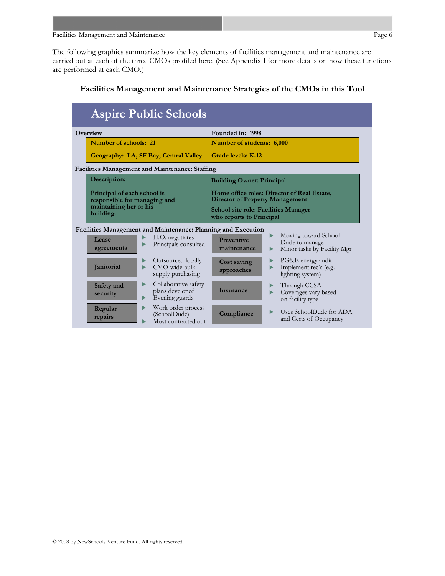The following graphics summarize how the key elements of facilities management and maintenance are carried out at each of the three CMOs profiled here. (See Appendix I for more details on how these functions are performed at each CMO.)

| <b>Aspire Public Schools</b>                                                                                                    |                                                                                                                                      |  |  |  |
|---------------------------------------------------------------------------------------------------------------------------------|--------------------------------------------------------------------------------------------------------------------------------------|--|--|--|
| Overview                                                                                                                        | Founded in: 1998                                                                                                                     |  |  |  |
| Number of schools: 21                                                                                                           | Number of students: 6,000                                                                                                            |  |  |  |
| Geography: LA, SF Bay, Central Valley                                                                                           | Grade levels: K-12                                                                                                                   |  |  |  |
| <b>Facilities Management and Maintenance: Staffing</b>                                                                          |                                                                                                                                      |  |  |  |
| Description:                                                                                                                    | <b>Building Owner: Principal</b>                                                                                                     |  |  |  |
| Principal of each school is<br>responsible for managing and<br>maintaining her or his<br>building.                              | Home office roles: Director of Real Estate,<br><b>Director of Property Management</b><br><b>School site role: Facilities Manager</b> |  |  |  |
|                                                                                                                                 | who reports to Principal                                                                                                             |  |  |  |
| Facilities Management and Maintenance: Planning and Execution<br>H.O. negotiates<br>Lease<br>Principals consulted<br>agreements | Moving toward School<br>▶<br><b>Preventive</b><br>Dude to manage<br>maintenance<br>Minor tasks by Facility Mgr                       |  |  |  |
| Outsourced locally<br>CMO-wide bulk<br><b>Janitorial</b><br>ь<br>supply purchasing                                              | PG&E energy audit<br>Cost saving<br>Implement rec's (e.g.<br>approaches<br>lighting system)                                          |  |  |  |
| Collaborative safety<br>▶<br>Safety and<br>plans developed<br>security<br>Evening guards<br>▶                                   | Through CCSA<br><b>Insurance</b><br>Coverages vary based<br>on facility type                                                         |  |  |  |
| Work order process<br>▶<br>Regular<br>(SchoolDude)<br>repairs<br>Most contracted out                                            | Uses SchoolDude for ADA<br>Compliance<br>and Certs of Occupancy                                                                      |  |  |  |

#### **Facilities Management and Maintenance Strategies of the CMOs in this Tool**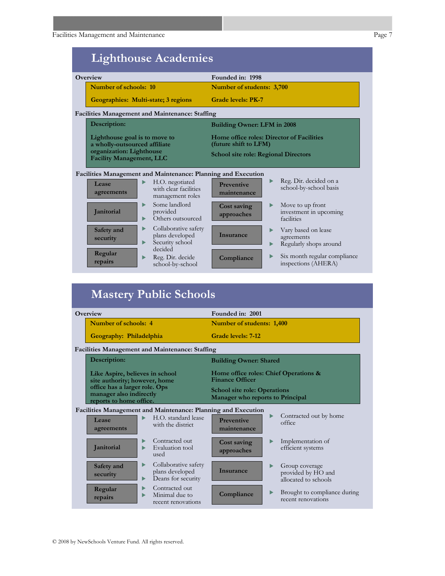Facilities Management and Maintenance

| <b>Lighthouse Academies</b>                                                                                                                               |                                                                                                                   |  |  |
|-----------------------------------------------------------------------------------------------------------------------------------------------------------|-------------------------------------------------------------------------------------------------------------------|--|--|
| Overview                                                                                                                                                  | Founded in: 1998                                                                                                  |  |  |
| Number of schools: 10                                                                                                                                     | Number of students: 3,700                                                                                         |  |  |
| Geographies: Multi-state; 3 regions                                                                                                                       | <b>Grade levels: PK-7</b>                                                                                         |  |  |
| <b>Facilities Management and Maintenance: Staffing</b>                                                                                                    |                                                                                                                   |  |  |
| Description:                                                                                                                                              | <b>Building Owner: LFM in 2008</b>                                                                                |  |  |
| Lighthouse goal is to move to<br>a wholly-outsourced affiliate<br>organization: Lighthouse<br><b>Facility Management, LLC</b>                             | Home office roles: Director of Facilities<br>(future shift to LFM)<br><b>School site role: Regional Directors</b> |  |  |
| Facilities Management and Maintenance: Planning and Execution<br>H.O. negotiated<br>▶<br>Lease<br>with clear facilities<br>agreements<br>management roles | Reg. Dir. decided on a<br>▶<br><b>Preventive</b><br>school-by-school basis<br>maintenance                         |  |  |
| Some landlord<br>Janitorial<br>provided<br>Others outsourced                                                                                              | Move to up front<br>Cost saving<br>investment in upcoming<br>approaches<br>facilities                             |  |  |
| Collaborative safety<br>Safety and<br>plans developed<br>security<br>Security school<br>decided                                                           | Vary based on lease<br><b>Insurance</b><br>agreements<br>Regularly shops around                                   |  |  |
| Regular<br>Reg. Dir. decide<br>repairs<br>school-by-school                                                                                                | Six month regular compliance<br>▶<br>Compliance<br>inspections (AHERA)                                            |  |  |
|                                                                                                                                                           |                                                                                                                   |  |  |

| <b>Mastery Public Schools</b>                                 |                                                                                     |   |                                                                         |                                  |   |                                                              |
|---------------------------------------------------------------|-------------------------------------------------------------------------------------|---|-------------------------------------------------------------------------|----------------------------------|---|--------------------------------------------------------------|
|                                                               | Overview                                                                            |   |                                                                         | Founded in: 2001                 |   |                                                              |
|                                                               | Number of schools: 4                                                                |   |                                                                         | Number of students: 1,400        |   |                                                              |
|                                                               | Geography: Philadelphia                                                             |   |                                                                         | Grade levels: 7-12               |   |                                                              |
|                                                               |                                                                                     |   | <b>Facilities Management and Maintenance: Staffing</b>                  |                                  |   |                                                              |
|                                                               | Description:                                                                        |   |                                                                         | <b>Building Owner: Shared</b>    |   |                                                              |
|                                                               | Like Aspire, believes in school<br>site authority; however, home                    |   | Home office roles: Chief Operations &<br><b>Finance Officer</b>         |                                  |   |                                                              |
|                                                               | office has a larger role. Ops<br>manager also indirectly<br>reports to home office. |   | <b>School site role: Operations</b><br>Manager who reports to Principal |                                  |   |                                                              |
| Facilities Management and Maintenance: Planning and Execution |                                                                                     |   |                                                                         |                                  |   |                                                              |
|                                                               | Lease<br>agreements                                                                 |   | H.O. standard lease<br>with the district                                | <b>Preventive</b><br>maintenance |   | Contracted out by home<br>office                             |
|                                                               | Janitorial                                                                          |   | Contracted out<br>Evaluation tool<br>used                               | Cost saving<br>approaches        |   | Implementation of<br>efficient systems                       |
|                                                               | Safety and<br>security                                                              | ▶ | Collaborative safety<br>plans developed<br>Deans for security           | <b>Insurance</b>                 |   | Group coverage<br>provided by HO and<br>allocated to schools |
|                                                               | Regular<br>repairs                                                                  | ▶ | Contracted out<br>Minimal due to<br>recent renovations                  | Compliance                       | ▶ | Brought to compliance during<br>recent renovations           |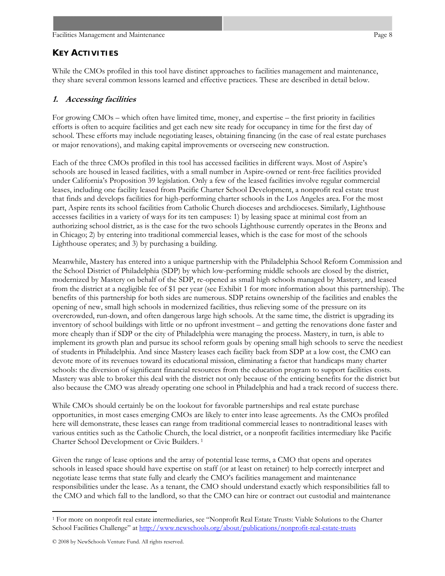<span id="page-7-0"></span>While the CMOs profiled in this tool have distinct approaches to facilities management and maintenance, they share several common lessons learned and effective practices. These are described in detail below.

#### **1. Accessing facilities**

For growing CMOs – which often have limited time, money, and expertise – the first priority in facilities efforts is often to acquire facilities and get each new site ready for occupancy in time for the first day of school. These efforts may include negotiating leases, obtaining financing (in the case of real estate purchases or major renovations), and making capital improvements or overseeing new construction.

Each of the three CMOs profiled in this tool has accessed facilities in different ways. Most of Aspire's schools are housed in leased facilities, with a small number in Aspire-owned or rent-free facilities provided under California's Proposition 39 legislation. Only a few of the leased facilities involve regular commercial leases, including one facility leased from Pacific Charter School Development, a nonprofit real estate trust that finds and develops facilities for high-performing charter schools in the Los Angeles area. For the most part, Aspire rents its school facilities from Catholic Church dioceses and archdioceses. Similarly, Lighthouse accesses facilities in a variety of ways for its ten campuses: 1) by leasing space at minimal cost from an authorizing school district, as is the case for the two schools Lighthouse currently operates in the Bronx and in Chicago; 2) by entering into traditional commercial leases, which is the case for most of the schools Lighthouse operates; and 3) by purchasing a building.

Meanwhile, Mastery has entered into a unique partnership with the Philadelphia School Reform Commission and the School District of Philadelphia (SDP) by which low-performing middle schools are closed by the district, modernized by Mastery on behalf of the SDP, re-opened as small high schools managed by Mastery, and leased from the district at a negligible fee of \$1 per year (see Exhibit 1 for more information about this partnership). The benefits of this partnership for both sides are numerous. SDP retains ownership of the facilities and enables the opening of new, small high schools in modernized facilities, thus relieving some of the pressure on its overcrowded, run-down, and often dangerous large high schools. At the same time, the district is upgrading its inventory of school buildings with little or no upfront investment – and getting the renovations done faster and more cheaply than if SDP or the city of Philadelphia were managing the process. Mastery, in turn, is able to implement its growth plan and pursue its school reform goals by opening small high schools to serve the neediest of students in Philadelphia. And since Mastery leases each facility back from SDP at a low cost, the CMO can devote more of its revenues toward its educational mission, eliminating a factor that handicaps many charter schools: the diversion of significant financial resources from the education program to support facilities costs. Mastery was able to broker this deal with the district not only because of the enticing benefits for the district but also because the CMO was already operating one school in Philadelphia and had a track record of success there.

While CMOs should certainly be on the lookout for favorable partnerships and real estate purchase opportunities, in most cases emerging CMOs are likely to enter into lease agreements. As the CMOs profiled here will demonstrate, these leases can range from traditional commercial leases to nontraditional leases with various entities such as the Catholic Church, the local district, or a nonprofit facilities intermediary like Pacific Charter School Development or Civic Builders. [1](#page-7-0)

Given the range of lease options and the array of potential lease terms, a CMO that opens and operates schools in leased space should have expertise on staff (or at least on retainer) to help correctly interpret and negotiate lease terms that state fully and clearly the CMO's facilities management and maintenance responsibilities under the lease. As a tenant, the CMO should understand exactly which responsibilities fall to the CMO and which fall to the landlord, so that the CMO can hire or contract out custodial and maintenance

 $\overline{a}$ 

<sup>1</sup> For more on nonprofit real estate intermediaries, see "Nonprofit Real Estate Trusts: Viable Solutions to the Charter School Facilities Challenge" at <http://www.newschools.org/about/publications/nonprofit-real-estate-trusts>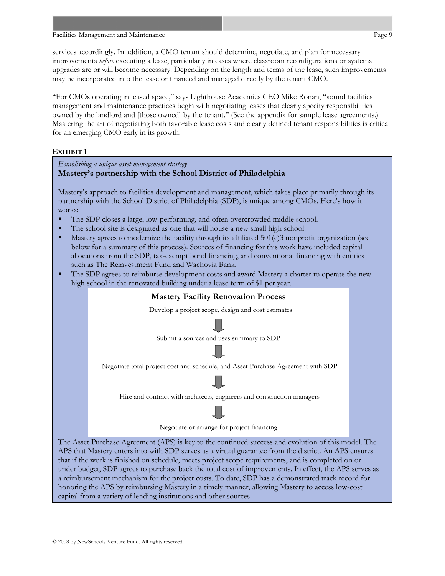services accordingly. In addition, a CMO tenant should determine, negotiate, and plan for necessary improvements *before* executing a lease, particularly in cases where classroom reconfigurations or systems upgrades are or will become necessary. Depending on the length and terms of the lease, such improvements may be incorporated into the lease or financed and managed directly by the tenant CMO.

"For CMOs operating in leased space," says Lighthouse Academies CEO Mike Ronan, "sound facilities management and maintenance practices begin with negotiating leases that clearly specify responsibilities owned by the landlord and [those owned] by the tenant." (See the appendix for sample lease agreements.) Mastering the art of negotiating both favorable lease costs and clearly defined tenant responsibilities is critical for an emerging CMO early in its growth.

#### **EXHIBIT 1**

*Establishing a unique asset management strategy*

#### **Mastery's partnership with the School District of Philadelphia**

Mastery's approach to facilities development and management, which takes place primarily through its partnership with the School District of Philadelphia (SDP), is unique among CMOs. Here's how it works:

- The SDP closes a large, low-performing, and often overcrowded middle school.
- The school site is designated as one that will house a new small high school.
- Mastery agrees to modernize the facility through its affiliated 501(c)3 nonprofit organization (see below for a summary of this process). Sources of financing for this work have included capital allocations from the SDP, tax-exempt bond financing, and conventional financing with entities such as The Reinvestment Fund and Wachovia Bank.
- The SDP agrees to reimburse development costs and award Mastery a charter to operate the new high school in the renovated building under a lease term of \$1 per year.



under budget, SDP agrees to purchase back the total cost of improvements. In effect, the APS serves as a reimbursement mechanism for the project costs. To date, SDP has a demonstrated track record for honoring the APS by reimbursing Mastery in a timely manner, allowing Mastery to access low-cost capital from a variety of lending institutions and other sources.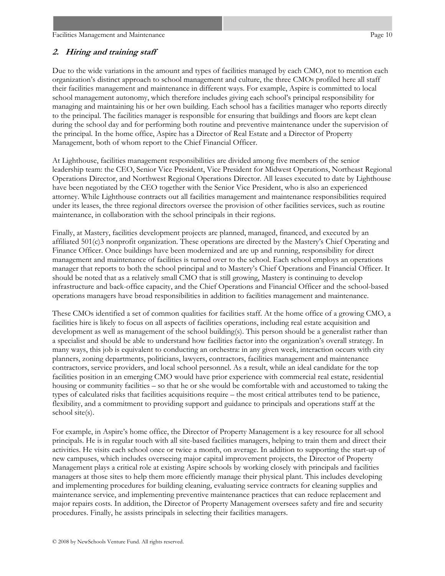#### **2. Hiring and training staff**

Due to the wide variations in the amount and types of facilities managed by each CMO, not to mention each organization's distinct approach to school management and culture, the three CMOs profiled here all staff their facilities management and maintenance in different ways. For example, Aspire is committed to local school management autonomy, which therefore includes giving each school's principal responsibility for managing and maintaining his or her own building. Each school has a facilities manager who reports directly to the principal. The facilities manager is responsible for ensuring that buildings and floors are kept clean during the school day and for performing both routine and preventive maintenance under the supervision of the principal. In the home office, Aspire has a Director of Real Estate and a Director of Property Management, both of whom report to the Chief Financial Officer.

At Lighthouse, facilities management responsibilities are divided among five members of the senior leadership team: the CEO, Senior Vice President, Vice President for Midwest Operations, Northeast Regional Operations Director, and Northwest Regional Operations Director. All leases executed to date by Lighthouse have been negotiated by the CEO together with the Senior Vice President, who is also an experienced attorney. While Lighthouse contracts out all facilities management and maintenance responsibilities required under its leases, the three regional directors oversee the provision of other facilities services, such as routine maintenance, in collaboration with the school principals in their regions.

Finally, at Mastery, facilities development projects are planned, managed, financed, and executed by an affiliated 501(c)3 nonprofit organization. These operations are directed by the Mastery's Chief Operating and Finance Officer. Once buildings have been modernized and are up and running, responsibility for direct management and maintenance of facilities is turned over to the school. Each school employs an operations manager that reports to both the school principal and to Mastery's Chief Operations and Financial Officer. It should be noted that as a relatively small CMO that is still growing, Mastery is continuing to develop infrastructure and back-office capacity, and the Chief Operations and Financial Officer and the school-based operations managers have broad responsibilities in addition to facilities management and maintenance.

These CMOs identified a set of common qualities for facilities staff. At the home office of a growing CMO, a facilities hire is likely to focus on all aspects of facilities operations, including real estate acquisition and development as well as management of the school building(s). This person should be a generalist rather than a specialist and should be able to understand how facilities factor into the organization's overall strategy. In many ways, this job is equivalent to conducting an orchestra: in any given week, interaction occurs with city planners, zoning departments, politicians, lawyers, contractors, facilities management and maintenance contractors, service providers, and local school personnel. As a result, while an ideal candidate for the top facilities position in an emerging CMO would have prior experience with commercial real estate, residential housing or community facilities – so that he or she would be comfortable with and accustomed to taking the types of calculated risks that facilities acquisitions require – the most critical attributes tend to be patience, flexibility, and a commitment to providing support and guidance to principals and operations staff at the school site(s).

For example, in Aspire's home office, the Director of Property Management is a key resource for all school principals. He is in regular touch with all site-based facilities managers, helping to train them and direct their activities. He visits each school once or twice a month, on average. In addition to supporting the start-up of new campuses, which includes overseeing major capital improvement projects, the Director of Property Management plays a critical role at existing Aspire schools by working closely with principals and facilities managers at those sites to help them more efficiently manage their physical plant. This includes developing and implementing procedures for building cleaning, evaluating service contracts for cleaning supplies and maintenance service, and implementing preventive maintenance practices that can reduce replacement and major repairs costs. In addition, the Director of Property Management oversees safety and fire and security procedures. Finally, he assists principals in selecting their facilities managers.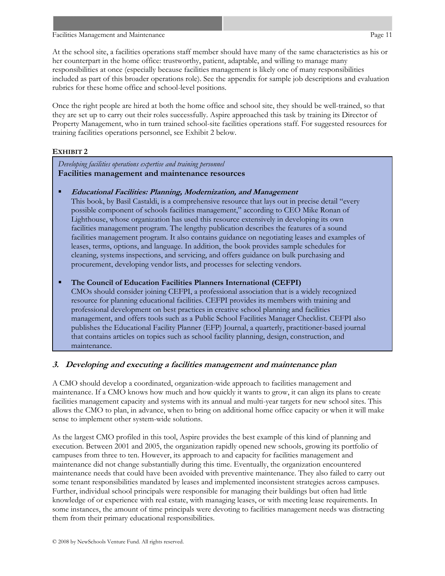#### Facilities Management and Maintenance **Page 11** Acceleration and Maintenance **Page 11**

At the school site, a facilities operations staff member should have many of the same characteristics as his or her counterpart in the home office: trustworthy, patient, adaptable, and willing to manage many responsibilities at once (especially because facilities management is likely one of many responsibilities included as part of this broader operations role). See the appendix for sample job descriptions and evaluation rubrics for these home office and school-level positions.

Once the right people are hired at both the home office and school site, they should be well-trained, so that they are set up to carry out their roles successfully. Aspire approached this task by training its Director of Property Management, who in turn trained school-site facilities operations staff. For suggested resources for training facilities operations personnel, see Exhibit 2 below.

#### **EXHIBIT 2**

#### *Developing facilities operations expertise and training personnel*  **Facilities management and maintenance resources**

**Educational Facilities: Planning, Modernization, and Management**

This book, by [Basil Castaldi](http://search.barnesandnoble.com/booksearch/results.asp?ATH=Basil+Castaldi&z=y), is a comprehensive resource that lays out in precise detail "every possible component of schools facilities management," according to CEO Mike Ronan of Lighthouse, whose organization has used this resource extensively in developing its own facilities management program. The lengthy publication describes the features of a sound facilities management program. It also contains guidance on negotiating leases and examples of leases, terms, options, and language. In addition, the book provides sample schedules for cleaning, systems inspections, and servicing, and offers guidance on bulk purchasing and procurement, developing vendor lists, and processes for selecting vendors.

#### **The Council of Education Facilities Planners International (CEFPI)**

CMOs should consider joining CEFPI, a professional association that is a widely recognized resource for planning educational facilities. CEFPI provides its members with training and professional development on best practices in creative school planning and facilities management, and offers tools such as a Public School Facilities Manager Checklist. CEFPI also publishes the Educational Facility Planner (EFP) Journal, a quarterly, practitioner-based journal that contains articles on topics such as school facility planning, design, construction, and maintenance.

#### **3. Developing and executing a facilities management and maintenance plan**

A CMO should develop a coordinated, organization-wide approach to facilities management and maintenance. If a CMO knows how much and how quickly it wants to grow, it can align its plans to create facilities management capacity and systems with its annual and multi-year targets for new school sites. This allows the CMO to plan, in advance, when to bring on additional home office capacity or when it will make sense to implement other system-wide solutions.

As the largest CMO profiled in this tool, Aspire provides the best example of this kind of planning and execution. Between 2001 and 2005, the organization rapidly opened new schools, growing its portfolio of campuses from three to ten. However, its approach to and capacity for facilities management and maintenance did not change substantially during this time. Eventually, the organization encountered maintenance needs that could have been avoided with preventive maintenance. They also failed to carry out some tenant responsibilities mandated by leases and implemented inconsistent strategies across campuses. Further, individual school principals were responsible for managing their buildings but often had little knowledge of or experience with real estate, with managing leases, or with meeting lease requirements. In some instances, the amount of time principals were devoting to facilities management needs was distracting them from their primary educational responsibilities.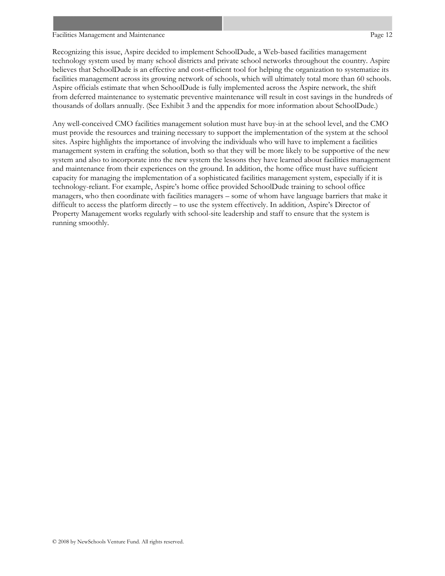#### Facilities Management and Maintenance Page 12

Recognizing this issue, Aspire decided to implement SchoolDude, a Web-based facilities management technology system used by many school districts and private school networks throughout the country. Aspire believes that SchoolDude is an effective and cost-efficient tool for helping the organization to systematize its facilities management across its growing network of schools, which will ultimately total more than 60 schools. Aspire officials estimate that when SchoolDude is fully implemented across the Aspire network, the shift from deferred maintenance to systematic preventive maintenance will result in cost savings in the hundreds of thousands of dollars annually. (See Exhibit 3 and the appendix for more information about SchoolDude.)

Any well-conceived CMO facilities management solution must have buy-in at the school level, and the CMO must provide the resources and training necessary to support the implementation of the system at the school sites. Aspire highlights the importance of involving the individuals who will have to implement a facilities management system in crafting the solution, both so that they will be more likely to be supportive of the new system and also to incorporate into the new system the lessons they have learned about facilities management and maintenance from their experiences on the ground. In addition, the home office must have sufficient capacity for managing the implementation of a sophisticated facilities management system, especially if it is technology-reliant. For example, Aspire's home office provided SchoolDude training to school office managers, who then coordinate with facilities managers – some of whom have language barriers that make it difficult to access the platform directly – to use the system effectively. In addition, Aspire's Director of Property Management works regularly with school-site leadership and staff to ensure that the system is running smoothly.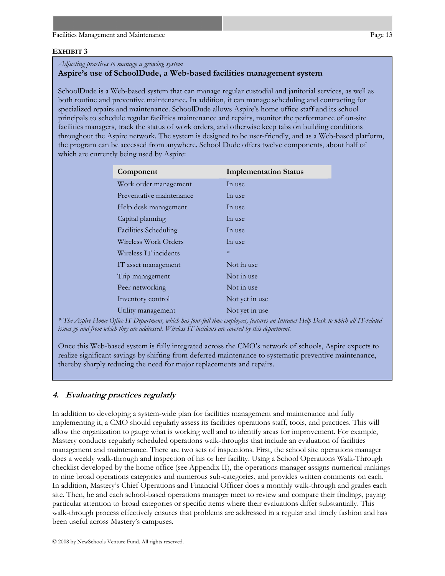#### **EXHIBIT 3**

*Adjusting practices to manage a growing system*

#### **Aspire's use of SchoolDude, a Web-based facilities management system**

SchoolDude is a Web-based system that can manage regular custodial and janitorial services, as well as both routine and preventive maintenance. In addition, it can manage scheduling and contracting for specialized repairs and maintenance. SchoolDude allows Aspire's home office staff and its school principals to schedule regular facilities maintenance and repairs, monitor the performance of on-site facilities managers, track the status of work orders, and otherwise keep tabs on building conditions throughout the Aspire network. The system is designed to be user-friendly, and as a Web-based platform, the program can be accessed from anywhere. School Dude offers twelve components, about half of which are currently being used by Aspire:

| Component                    | <b>Implementation Status</b> |
|------------------------------|------------------------------|
| Work order management        | In use                       |
| Preventative maintenance     | In use                       |
| Help desk management         | In use                       |
| Capital planning             | In use                       |
| <b>Facilities Scheduling</b> | In use                       |
| Wireless Work Orders         | In use                       |
| Wireless IT incidents        | $\ast$                       |
| IT asset management          | Not in use                   |
| Trip management              | Not in use                   |
| Peer networking              | Not in use                   |
| Inventory control            | Not yet in use               |
| Utility management           | Not yet in use               |

*\* The Aspire Home Office IT Department, which has four-full time employees, features an Intranet Help Desk to which all IT-related issues go and from which they are addressed. Wireless IT incidents are covered by this department.* 

Once this Web-based system is fully integrated across the CMO's network of schools, Aspire expects to realize significant savings by shifting from deferred maintenance to systematic preventive maintenance, thereby sharply reducing the need for major replacements and repairs.

#### **4. Evaluating practices regularly**

In addition to developing a system-wide plan for facilities management and maintenance and fully implementing it, a CMO should regularly assess its facilities operations staff, tools, and practices. This will allow the organization to gauge what is working well and to identify areas for improvement. For example, Mastery conducts regularly scheduled operations walk-throughs that include an evaluation of facilities management and maintenance. There are two sets of inspections. First, the school site operations manager does a weekly walk-through and inspection of his or her facility. Using a School Operations Walk-Through checklist developed by the home office (see Appendix II), the operations manager assigns numerical rankings to nine broad operations categories and numerous sub-categories, and provides written comments on each. In addition, Mastery's Chief Operations and Financial Officer does a monthly walk-through and grades each site. Then, he and each school-based operations manager meet to review and compare their findings, paying particular attention to broad categories or specific items where their evaluations differ substantially. This walk-through process effectively ensures that problems are addressed in a regular and timely fashion and has been useful across Mastery's campuses.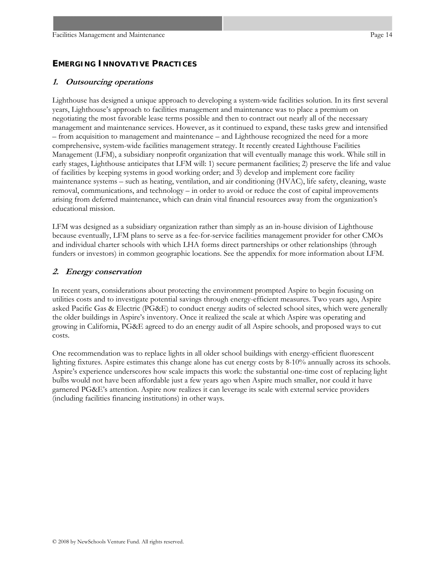#### <span id="page-13-0"></span>**EMERGING INNOVATIVE PRACTICES**

#### **1. Outsourcing operations**

Lighthouse has designed a unique approach to developing a system-wide facilities solution. In its first several years, Lighthouse's approach to facilities management and maintenance was to place a premium on negotiating the most favorable lease terms possible and then to contract out nearly all of the necessary management and maintenance services. However, as it continued to expand, these tasks grew and intensified – from acquisition to management and maintenance – and Lighthouse recognized the need for a more comprehensive, system-wide facilities management strategy. It recently created Lighthouse Facilities Management (LFM), a subsidiary nonprofit organization that will eventually manage this work. While still in early stages, Lighthouse anticipates that LFM will: 1) secure permanent facilities; 2) preserve the life and value of facilities by keeping systems in good working order; and 3) develop and implement core facility maintenance systems – such as heating, ventilation, and air conditioning (HVAC), life safety, cleaning, waste removal, communications, and technology – in order to avoid or reduce the cost of capital improvements arising from deferred maintenance, which can drain vital financial resources away from the organization's educational mission.

LFM was designed as a subsidiary organization rather than simply as an in-house division of Lighthouse because eventually, LFM plans to serve as a fee-for-service facilities management provider for other CMOs and individual charter schools with which LHA forms direct partnerships or other relationships (through funders or investors) in common geographic locations. See the appendix for more information about LFM.

#### **2. Energy conservation**

In recent years, considerations about protecting the environment prompted Aspire to begin focusing on utilities costs and to investigate potential savings through energy-efficient measures. Two years ago, Aspire asked Pacific Gas & Electric (PG&E) to conduct energy audits of selected school sites, which were generally the older buildings in Aspire's inventory. Once it realized the scale at which Aspire was operating and growing in California, PG&E agreed to do an energy audit of all Aspire schools, and proposed ways to cut costs.

One recommendation was to replace lights in all older school buildings with energy-efficient fluorescent lighting fixtures. Aspire estimates this change alone has cut energy costs by 8-10% annually across its schools. Aspire's experience underscores how scale impacts this work: the substantial one-time cost of replacing light bulbs would not have been affordable just a few years ago when Aspire much smaller, nor could it have garnered PG&E's attention. Aspire now realizes it can leverage its scale with external service providers (including facilities financing institutions) in other ways.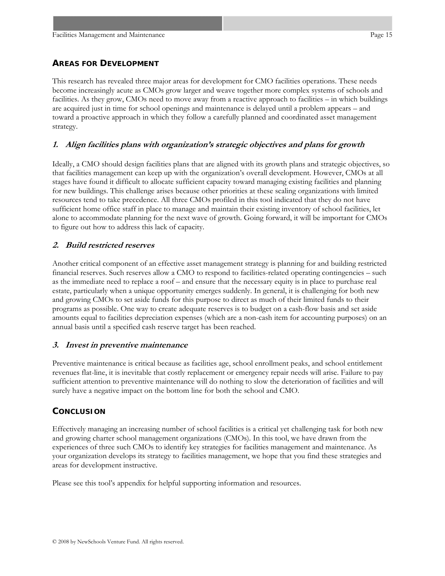#### <span id="page-14-0"></span>**AREAS FOR DEVELOPMENT**

This research has revealed three major areas for development for CMO facilities operations. These needs become increasingly acute as CMOs grow larger and weave together more complex systems of schools and facilities. As they grow, CMOs need to move away from a reactive approach to facilities – in which buildings are acquired just in time for school openings and maintenance is delayed until a problem appears – and toward a proactive approach in which they follow a carefully planned and coordinated asset management strategy.

#### **1. Align facilities plans with organization's strategic objectives and plans for growth**

Ideally, a CMO should design facilities plans that are aligned with its growth plans and strategic objectives, so that facilities management can keep up with the organization's overall development. However, CMOs at all stages have found it difficult to allocate sufficient capacity toward managing existing facilities and planning for new buildings. This challenge arises because other priorities at these scaling organizations with limited resources tend to take precedence. All three CMOs profiled in this tool indicated that they do not have sufficient home office staff in place to manage and maintain their existing inventory of school facilities, let alone to accommodate planning for the next wave of growth. Going forward, it will be important for CMOs to figure out how to address this lack of capacity.

#### **2. Build restricted reserves**

Another critical component of an effective asset management strategy is planning for and building restricted financial reserves. Such reserves allow a CMO to respond to facilities-related operating contingencies – such as the immediate need to replace a roof – and ensure that the necessary equity is in place to purchase real estate, particularly when a unique opportunity emerges suddenly. In general, it is challenging for both new and growing CMOs to set aside funds for this purpose to direct as much of their limited funds to their programs as possible. One way to create adequate reserves is to budget on a cash-flow basis and set aside amounts equal to facilities depreciation expenses (which are a non-cash item for accounting purposes) on an annual basis until a specified cash reserve target has been reached.

#### **3. Invest in preventive maintenance**

Preventive maintenance is critical because as facilities age, school enrollment peaks, and school entitlement revenues flat-line, it is inevitable that costly replacement or emergency repair needs will arise. Failure to pay sufficient attention to preventive maintenance will do nothing to slow the deterioration of facilities and will surely have a negative impact on the bottom line for both the school and CMO.

#### **CONCLUSION**

Effectively managing an increasing number of school facilities is a critical yet challenging task for both new and growing charter school management organizations (CMOs). In this tool, we have drawn from the experiences of three such CMOs to identify key strategies for facilities management and maintenance. As your organization develops its strategy to facilities management, we hope that you find these strategies and areas for development instructive.

Please see this tool's appendix for helpful supporting information and resources.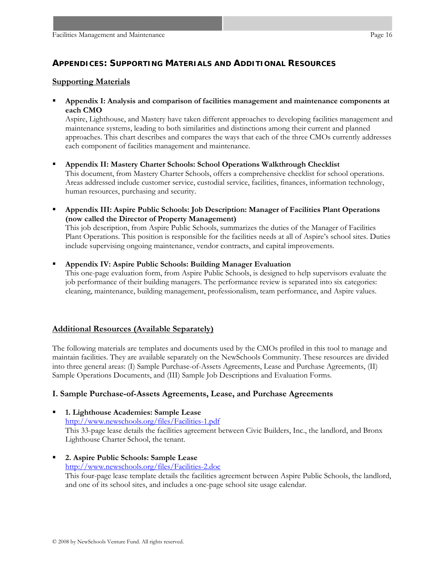#### <span id="page-15-0"></span>**APPENDICES: SUPPORTING MATERIALS AND ADDITIONAL RESOURCES**

#### **Supporting Materials**

 **Appendix I: Analysis and comparison of facilities management and maintenance components at each CMO** 

Aspire, Lighthouse, and Mastery have taken different approaches to developing facilities management and maintenance systems, leading to both similarities and distinctions among their current and planned approaches. This chart describes and compares the ways that each of the three CMOs currently addresses each component of facilities management and maintenance.

- **Appendix II: Mastery Charter Schools: School Operations Walkthrough Checklist**  This document, from Mastery Charter Schools, offers a comprehensive checklist for school operations. Areas addressed include customer service, custodial service, facilities, finances, information technology, human resources, purchasing and security.
- **Appendix III: Aspire Public Schools: Job Description: Manager of Facilities Plant Operations (now called the Director of Property Management)**

This job description, from Aspire Public Schools, summarizes the duties of the Manager of Facilities Plant Operations. This position is responsible for the facilities needs at all of Aspire's school sites. Duties include supervising ongoing maintenance, vendor contracts, and capital improvements.

**Appendix IV: Aspire Public Schools: Building Manager Evaluation** 

This one-page evaluation form, from Aspire Public Schools, is designed to help supervisors evaluate the job performance of their building managers. The performance review is separated into six categories: cleaning, maintenance, building management, professionalism, team performance, and Aspire values.

#### **Additional Resources (Available Separately)**

The following materials are templates and documents used by the CMOs profiled in this tool to manage and maintain facilities. They are available separately on the NewSchools Community. These resources are divided into three general areas: (I) Sample Purchase-of-Assets Agreements, Lease and Purchase Agreements, (II) Sample Operations Documents, and (III) Sample Job Descriptions and Evaluation Forms.

#### **I. Sample Purchase-of-Assets Agreements, Lease, and Purchase Agreements**

- **1. Lighthouse Academies: Sample Lease**  <http://www.newschools.org/files/Facilities-1.pdf> This 33-page lease details the facilities agreement between Civic Builders, Inc., the landlord, and Bronx Lighthouse Charter School, the tenant.
- **2. Aspire Public Schools: Sample Lease** <http://www.newschools.org/files/Facilities-2.doc> This four-page lease template details the facilities agreement between Aspire Public Schools, the landlord, and one of its school sites, and includes a one-page school site usage calendar.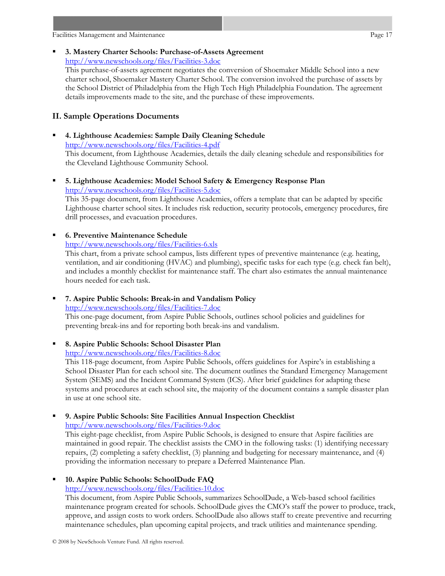**3. Mastery Charter Schools: Purchase-of-Assets Agreement**  <http://www.newschools.org/files/Facilities-3.doc> This purchase-of-assets agreement negotiates the conversion of Shoemaker Middle School into a new

charter school, Shoemaker Mastery Charter School. The conversion involved the purchase of assets by the School District of Philadelphia from the High Tech High Philadelphia Foundation. The agreement details improvements made to the site, and the purchase of these improvements.

#### **II. Sample Operations Documents**

- **4. Lighthouse Academies: Sample Daily Cleaning Schedule** <http://www.newschools.org/files/Facilities-4.pdf> This document, from Lighthouse Academies, details the daily cleaning schedule and responsibilities for the Cleveland Lighthouse Community School.
- **5. Lighthouse Academies: Model School Safety & Emergency Response Plan**  <http://www.newschools.org/files/Facilities-5.doc> This 35-page document, from Lighthouse Academies, offers a template that can be adapted by specific Lighthouse charter school sites. It includes risk reduction, security protocols, emergency procedures, fire drill processes, and evacuation procedures.
- **6. Preventive Maintenance Schedule**  <http://www.newschools.org/files/Facilities-6.xls> This chart, from a private school campus, lists different types of preventive maintenance (e.g. heating, ventilation, and air conditioning (HVAC) and plumbing), specific tasks for each type (e.g. check fan belt), and includes a monthly checklist for maintenance staff. The chart also estimates the annual maintenance hours needed for each task.
	- **7. Aspire Public Schools: Break-in and Vandalism Policy**  <http://www.newschools.org/files/Facilities-7.doc> This one-page document, from Aspire Public Schools, outlines school policies and guidelines for
	- preventing break-ins and for reporting both break-ins and vandalism.
- **8. Aspire Public Schools: School Disaster Plan**

<http://www.newschools.org/files/Facilities-8.doc>

This 118-page document, from Aspire Public Schools, offers guidelines for Aspire's in establishing a School Disaster Plan for each school site. The document outlines the Standard Emergency Management System (SEMS) and the Incident Command System (ICS). After brief guidelines for adapting these systems and procedures at each school site, the majority of the document contains a sample disaster plan in use at one school site.

 **9. Aspire Public Schools: Site Facilities Annual Inspection Checklist**  <http://www.newschools.org/files/Facilities-9.doc>

This eight-page checklist, from Aspire Public Schools, is designed to ensure that Aspire facilities are maintained in good repair. The checklist assists the CMO in the following tasks: (1) identifying necessary repairs, (2) completing a safety checklist, (3) planning and budgeting for necessary maintenance, and (4) providing the information necessary to prepare a Deferred Maintenance Plan.

#### **10. Aspire Public Schools: SchoolDude FAQ**

<http://www.newschools.org/files/Facilities-10.doc>

This document, from Aspire Public Schools, summarizes SchoolDude, a Web-based school facilities maintenance program created for schools. SchoolDude gives the CMO's staff the power to produce, track, approve, and assign costs to work orders. SchoolDude also allows staff to create preventive and recurring maintenance schedules, plan upcoming capital projects, and track utilities and maintenance spending.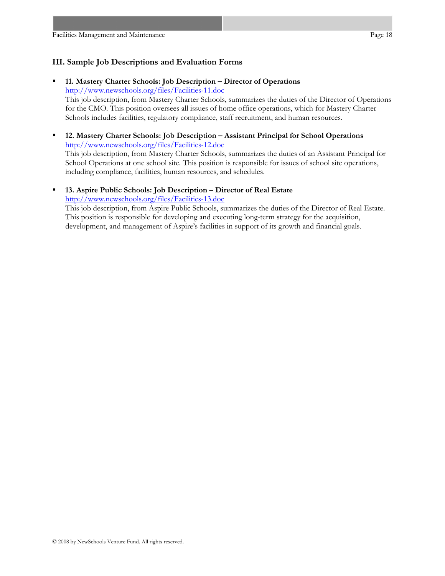#### **III. Sample Job Descriptions and Evaluation Forms**

 **11. Mastery Charter Schools: Job Description – Director of Operations**  <http://www.newschools.org/files/Facilities-11.doc>

This job description, from Mastery Charter Schools, summarizes the duties of the Director of Operations for the CMO. This position oversees all issues of home office operations, which for Mastery Charter Schools includes facilities, regulatory compliance, staff recruitment, and human resources.

- **12. Mastery Charter Schools: Job Description Assistant Principal for School Operations** <http://www.newschools.org/files/Facilities-12.doc> This job description, from Mastery Charter Schools, summarizes the duties of an Assistant Principal for School Operations at one school site. This position is responsible for issues of school site operations, including compliance, facilities, human resources, and schedules.
- **13. Aspire Public Schools: Job Description Director of Real Estate**  <http://www.newschools.org/files/Facilities-13.doc>

This job description, from Aspire Public Schools, summarizes the duties of the Director of Real Estate. This position is responsible for developing and executing long-term strategy for the acquisition, development, and management of Aspire's facilities in support of its growth and financial goals.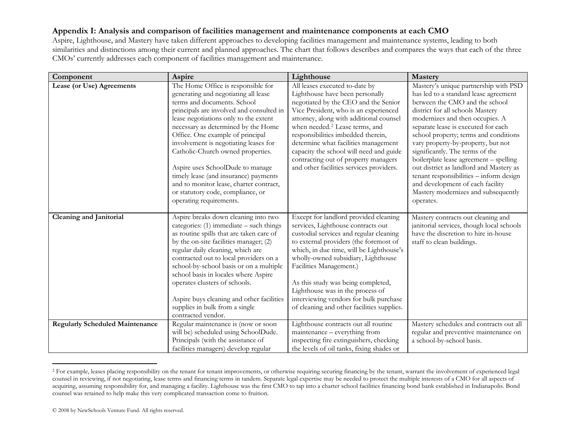#### **Appendix I: Analysis and comparison of facilities management and maintenance components at each CMO**

Aspire, Lighthouse, and Mastery have taken different approaches to developing facilities management and maintenance systems, leading to both similarities and distinctions among their current and planned approaches. The chart that follows describes and compares the ways that each of the three CMOs' currently addresses each component of facilities management and maintenance.

| Component                              | Aspire                                    | Lighthouse                                 | <b>Mastery</b>                                                                  |
|----------------------------------------|-------------------------------------------|--------------------------------------------|---------------------------------------------------------------------------------|
| Lease (or Use) Agreements              | The Home Office is responsible for        | All leases executed to-date by             | Mastery's unique partnership with PSD                                           |
|                                        | generating and negotiating all lease      | Lighthouse have been personally            | has led to a standard lease agreement                                           |
|                                        | terms and documents. School               | negotiated by the CEO and the Senior       | between the CMO and the school                                                  |
|                                        | principals are involved and consulted in  | Vice President, who is an experienced      | district for all schools Mastery                                                |
|                                        | lease negotiations only to the extent     | attorney, along with additional counsel    | modernizes and then occupies. A                                                 |
|                                        | necessary as determined by the Home       | when needed. <sup>2</sup> Lease terms, and | separate lease is executed for each                                             |
|                                        | Office. One example of principal          | responsibilities imbedded therein,         | school property; terms and conditions                                           |
|                                        | involvement is negotiating leases for     | determine what facilities management       | vary property-by-property, but not                                              |
|                                        | Catholic-Church owned properties.         | capacity the school will need and guide    | significantly. The terms of the                                                 |
|                                        |                                           | contracting out of property managers       | boilerplate lease agreement - spelling                                          |
|                                        | Aspire uses SchoolDude to manage          | and other facilities services providers.   | out district as landlord and Mastery as                                         |
|                                        | timely lease (and insurance) payments     |                                            | tenant responsibilities - inform design                                         |
|                                        | and to monitor lease, charter contract,   |                                            | and development of each facility                                                |
|                                        | or statutory code, compliance, or         |                                            | Mastery modernizes and subsequently                                             |
|                                        | operating requirements.                   |                                            | operates.                                                                       |
| <b>Cleaning and Janitorial</b>         | Aspire breaks down cleaning into two      | Except for landlord provided cleaning      |                                                                                 |
|                                        | categories: $(1)$ immediate – such things | services, Lighthouse contracts out         | Mastery contracts out cleaning and<br>janitorial services, though local schools |
|                                        | as routine spills that are taken care of  | custodial services and regular cleaning    | have the discretion to hire in-house                                            |
|                                        | by the on-site facilities manager; (2)    | to external providers (the foremost of     | staff to clean buildings.                                                       |
|                                        | regular daily cleaning, which are         | which, in due time, will be Lighthouse's   |                                                                                 |
|                                        | contracted out to local providers on a    | wholly-owned subsidiary, Lighthouse        |                                                                                 |
|                                        | school-by-school basis or on a multiple   | Facilities Management.)                    |                                                                                 |
|                                        | school basis in locales where Aspire      |                                            |                                                                                 |
|                                        | operates clusters of schools.             | As this study was being completed,         |                                                                                 |
|                                        |                                           | Lighthouse was in the process of           |                                                                                 |
|                                        | Aspire buys cleaning and other facilities | interviewing vendors for bulk purchase     |                                                                                 |
|                                        | supplies in bulk from a single            | of cleaning and other facilities supplies. |                                                                                 |
|                                        | contracted vendor.                        |                                            |                                                                                 |
| <b>Regularly Scheduled Maintenance</b> | Regular maintenance is (now or soon       | Lighthouse contracts out all routine       | Mastery schedules and contracts out all                                         |
|                                        | will be) scheduled using SchoolDude.      | maintenance - everything from              | regular and preventive maintenance on                                           |
|                                        | Principals (with the assistance of        | inspecting fire extinguishers, checking    | a school-by-school basis.                                                       |
|                                        | facilities managers) develop regular      | the levels of oil tanks, fixing shades or  |                                                                                 |

<span id="page-18-0"></span><sup>&</sup>lt;sup>2</sup> For example, leases placing responsibility on the tenant for tenant improvements, or otherwise requiring securing financing by the tenant, warrant the involvement of experienced legal counsel in reviewing, if not negotiating, lease terms and financing terms in tandem. Separate legal expertise may be needed to protect the multiple interests of a CMO for all aspects of acquiring, assuming responsibility for, and managing a facility. Lighthouse was the first CMO to tap into a charter school facilities financing bond bank established in Indianapolis. Bond counsel was retained to help make this very complicated transaction come to fruition.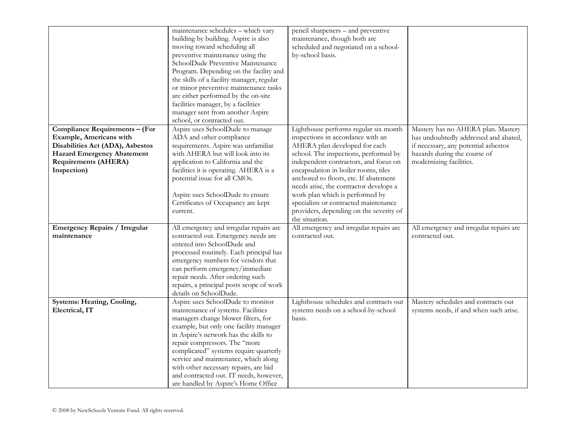|                                      | maintenance schedules - which vary        | pencil sharpeners - and preventive      |                                         |
|--------------------------------------|-------------------------------------------|-----------------------------------------|-----------------------------------------|
|                                      | building by building. Aspire is also      | maintenance, though both are            |                                         |
|                                      | moving toward scheduling all              | scheduled and negotiated on a school-   |                                         |
|                                      | preventive maintenance using the          | by-school basis.                        |                                         |
|                                      | SchoolDude Preventive Maintenance         |                                         |                                         |
|                                      | Program. Depending on the facility and    |                                         |                                         |
|                                      | the skills of a facility manager, regular |                                         |                                         |
|                                      | or minor preventive maintenance tasks     |                                         |                                         |
|                                      | are either performed by the on-site       |                                         |                                         |
|                                      | facilities manager, by a facilities       |                                         |                                         |
|                                      | manager sent from another Aspire          |                                         |                                         |
|                                      | school, or contracted out.                |                                         |                                         |
| Compliance Requirements - (For       | Aspire uses SchoolDude to manage          | Lighthouse performs regular six month   | Mastery has no AHERA plan. Mastery      |
| Example, Americans with              | ADA and other compliance                  | inspections in accordance with an       | has undoubtedly addressed and abated,   |
| Disabilities Act (ADA), Asbestos     | requirements. Aspire was unfamiliar       | AHERA plan developed for each           | if necessary, any potential asbestos    |
| <b>Hazard Emergency Abatement</b>    | with AHERA but will look into its         | school. The inspections, performed by   | hazards during the course of            |
| <b>Requirements (AHERA)</b>          | application to California and the         | independent contractors, and focus on   | modernizing facilities.                 |
| Inspection)                          | facilities it is operating. AHERA is a    | encapsulation in boiler rooms, tiles    |                                         |
|                                      | potential issue for all CMOs.             | anchored to floors, etc. If abatement   |                                         |
|                                      |                                           | needs arise, the contractor develops a  |                                         |
|                                      | Aspire uses SchoolDude to ensure          | work plan which is performed by         |                                         |
|                                      | Certificates of Occupancy are kept        | specialists or contracted maintenance   |                                         |
|                                      | current.                                  | providers, depending on the severity of |                                         |
|                                      |                                           | the situation.                          |                                         |
| <b>Emergency Repairs / Irregular</b> | All emergency and irregular repairs are   | All emergency and irregular repairs are | All emergency and irregular repairs are |
| maintenance                          | contracted out. Emergency needs are       | contracted out.                         | contracted out.                         |
|                                      | entered into SchoolDude and               |                                         |                                         |
|                                      | processed routinely. Each principal has   |                                         |                                         |
|                                      | emergency numbers for vendors that        |                                         |                                         |
|                                      | can perform emergency/immediate           |                                         |                                         |
|                                      | repair needs. After ordering such         |                                         |                                         |
|                                      | repairs, a principal posts scope of work  |                                         |                                         |
|                                      | details on SchoolDude.                    |                                         |                                         |
| Systems: Heating, Cooling,           | Aspire uses SchoolDude to monitor         | Lighthouse schedules and contracts out  | Mastery schedules and contracts out     |
| Electrical, IT                       | maintenance of systems. Facilities        | systems needs on a school-by-school     | systems needs, if and when such arise.  |
|                                      | managers change blower filters, for       | basis.                                  |                                         |
|                                      | example, but only one facility manager    |                                         |                                         |
|                                      | in Aspire's network has the skills to     |                                         |                                         |
|                                      | repair compressors. The "more             |                                         |                                         |
|                                      | complicated" systems require quarterly    |                                         |                                         |
|                                      | service and maintenance, which along      |                                         |                                         |
|                                      | with other necessary repairs, are bid     |                                         |                                         |
|                                      | and contracted out. IT needs, however,    |                                         |                                         |
|                                      | are handled by Aspire's Home Office       |                                         |                                         |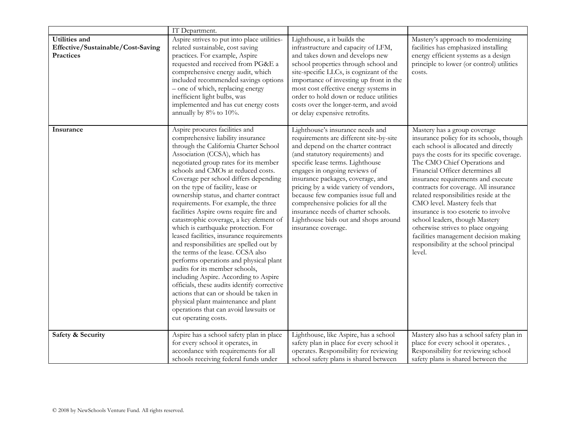|                                                                 | IT Department.                                                                                                                                                                                                                                                                                                                                                                                                                                                                                                                                                                                                                                                                                                                                                                                                                                                                                                                                                                |                                                                                                                                                                                                                                                                                                                                                                                                                                                                                              |                                                                                                                                                                                                                                                                                                                                                                                                                                                                                                                                                                                                           |
|-----------------------------------------------------------------|-------------------------------------------------------------------------------------------------------------------------------------------------------------------------------------------------------------------------------------------------------------------------------------------------------------------------------------------------------------------------------------------------------------------------------------------------------------------------------------------------------------------------------------------------------------------------------------------------------------------------------------------------------------------------------------------------------------------------------------------------------------------------------------------------------------------------------------------------------------------------------------------------------------------------------------------------------------------------------|----------------------------------------------------------------------------------------------------------------------------------------------------------------------------------------------------------------------------------------------------------------------------------------------------------------------------------------------------------------------------------------------------------------------------------------------------------------------------------------------|-----------------------------------------------------------------------------------------------------------------------------------------------------------------------------------------------------------------------------------------------------------------------------------------------------------------------------------------------------------------------------------------------------------------------------------------------------------------------------------------------------------------------------------------------------------------------------------------------------------|
| Utilities and<br>Effective/Sustainable/Cost-Saving<br>Practices | Aspire strives to put into place utilities-<br>related sustainable, cost saving<br>practices. For example, Aspire<br>requested and received from PG&E a<br>comprehensive energy audit, which<br>included recommended savings options<br>- one of which, replacing energy<br>inefficient light bulbs, was<br>implemented and has cut energy costs<br>annually by 8% to 10%.                                                                                                                                                                                                                                                                                                                                                                                                                                                                                                                                                                                                    | Lighthouse, a it builds the<br>infrastructure and capacity of LFM,<br>and takes down and develops new<br>school properties through school and<br>site-specific LLCs, is cognizant of the<br>importance of investing up front in the<br>most cost effective energy systems in<br>order to hold down or reduce utilities<br>costs over the longer-term, and avoid<br>or delay expensive retrofits.                                                                                             | Mastery's approach to modernizing<br>facilities has emphasized installing<br>energy efficient systems as a design<br>principle to lower (or control) utilities<br>costs.                                                                                                                                                                                                                                                                                                                                                                                                                                  |
| Insurance                                                       | Aspire procures facilities and<br>comprehensive liability insurance<br>through the California Charter School<br>Association (CCSA), which has<br>negotiated group rates for its member<br>schools and CMOs at reduced costs.<br>Coverage per school differs depending<br>on the type of facility, lease or<br>ownership status, and charter contract<br>requirements. For example, the three<br>facilities Aspire owns require fire and<br>catastrophic coverage, a key element of<br>which is earthquake protection. For<br>leased facilities, insurance requirements<br>and responsibilities are spelled out by<br>the terms of the lease. CCSA also<br>performs operations and physical plant<br>audits for its member schools,<br>including Aspire. According to Aspire<br>officials, these audits identify corrective<br>actions that can or should be taken in<br>physical plant maintenance and plant<br>operations that can avoid lawsuits or<br>cut operating costs. | Lighthouse's insurance needs and<br>requirements are different site-by-site<br>and depend on the charter contract<br>(and statutory requirements) and<br>specific lease terms. Lighthouse<br>engages in ongoing reviews of<br>insurance packages, coverage, and<br>pricing by a wide variety of vendors,<br>because few companies issue full and<br>comprehensive policies for all the<br>insurance needs of charter schools.<br>Lighthouse bids out and shops around<br>insurance coverage. | Mastery has a group coverage<br>insurance policy for its schools, though<br>each school is allocated and directly<br>pays the costs for its specific coverage.<br>The CMO Chief Operations and<br>Financial Officer determines all<br>insurance requirements and execute<br>contracts for coverage. All insurance<br>related responsibilities reside at the<br>CMO level. Mastery feels that<br>insurance is too esoteric to involve<br>school leaders, though Mastery<br>otherwise strives to place ongoing<br>facilities management decision making<br>responsibility at the school principal<br>level. |
| Safety & Security                                               | Aspire has a school safety plan in place<br>for every school it operates, in                                                                                                                                                                                                                                                                                                                                                                                                                                                                                                                                                                                                                                                                                                                                                                                                                                                                                                  | Lighthouse, like Aspire, has a school<br>safety plan in place for every school it                                                                                                                                                                                                                                                                                                                                                                                                            | Mastery also has a school safety plan in<br>place for every school it operates.,                                                                                                                                                                                                                                                                                                                                                                                                                                                                                                                          |
|                                                                 | accordance with requirements for all<br>schools receiving federal funds under                                                                                                                                                                                                                                                                                                                                                                                                                                                                                                                                                                                                                                                                                                                                                                                                                                                                                                 | operates. Responsibility for reviewing<br>school safety plans is shared between                                                                                                                                                                                                                                                                                                                                                                                                              | Responsibility for reviewing school<br>safety plans is shared between the                                                                                                                                                                                                                                                                                                                                                                                                                                                                                                                                 |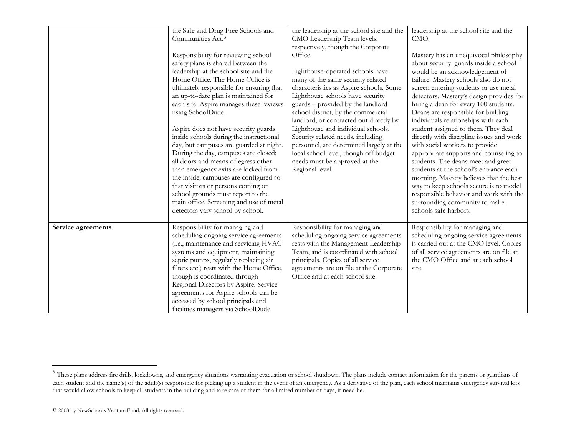|                    | the Safe and Drug Free Schools and        | the leadership at the school site and the | leadership at the school site and the    |
|--------------------|-------------------------------------------|-------------------------------------------|------------------------------------------|
|                    | Communities Act. <sup>3</sup>             | CMO Leadership Team levels,               | CMO.                                     |
|                    |                                           |                                           |                                          |
|                    |                                           | respectively, though the Corporate        |                                          |
|                    | Responsibility for reviewing school       | Office.                                   | Mastery has an unequivocal philosophy    |
|                    | safety plans is shared between the        |                                           | about security: guards inside a school   |
|                    | leadership at the school site and the     | Lighthouse-operated schools have          | would be an acknowledgement of           |
|                    | Home Office. The Home Office is           | many of the same security related         | failure. Mastery schools also do not     |
|                    | ultimately responsible for ensuring that  | characteristics as Aspire schools. Some   | screen entering students or use metal    |
|                    | an up-to-date plan is maintained for      | Lighthouse schools have security          | detectors. Mastery's design provides for |
|                    | each site. Aspire manages these reviews   | guards - provided by the landlord         | hiring a dean for every 100 students.    |
|                    | using SchoolDude.                         | school district, by the commercial        | Deans are responsible for building       |
|                    |                                           | landlord, or contracted out directly by   | individuals relationships with each      |
|                    | Aspire does not have security guards      | Lighthouse and individual schools.        | student assigned to them. They deal      |
|                    | inside schools during the instructional   | Security related needs, including         | directly with discipline issues and work |
|                    | day, but campuses are guarded at night.   | personnel, are determined largely at the  | with social workers to provide           |
|                    | During the day, campuses are closed;      | local school level, though off budget     | appropriate supports and counseling to   |
|                    | all doors and means of egress other       | needs must be approved at the             | students. The deans meet and greet       |
|                    | than emergency exits are locked from      | Regional level.                           | students at the school's entrance each   |
|                    | the inside; campuses are configured so    |                                           | morning. Mastery believes that the best  |
|                    | that visitors or persons coming on        |                                           | way to keep schools secure is to model   |
|                    | school grounds must report to the         |                                           | responsible behavior and work with the   |
|                    | main office. Screening and use of metal   |                                           | surrounding community to make            |
|                    |                                           |                                           |                                          |
|                    | detectors vary school-by-school.          |                                           | schools safe harbors.                    |
|                    |                                           |                                           |                                          |
| Service agreements | Responsibility for managing and           | Responsibility for managing and           | Responsibility for managing and          |
|                    | scheduling ongoing service agreements     | scheduling ongoing service agreements     | scheduling ongoing service agreements    |
|                    | (i.e., maintenance and servicing HVAC     | rests with the Management Leadership      | is carried out at the CMO level. Copies  |
|                    | systems and equipment, maintaining        | Team, and is coordinated with school      | of all service agreements are on file at |
|                    | septic pumps, regularly replacing air     | principals. Copies of all service         | the CMO Office and at each school        |
|                    | filters etc.) rests with the Home Office, | agreements are on file at the Corporate   | site.                                    |
|                    | though is coordinated through             | Office and at each school site.           |                                          |
|                    | Regional Directors by Aspire. Service     |                                           |                                          |
|                    | agreements for Aspire schools can be      |                                           |                                          |
|                    | accessed by school principals and         |                                           |                                          |
|                    | facilities managers via SchoolDude.       |                                           |                                          |

<span id="page-21-0"></span> $3$  These plans address fire drills, lockdowns, and emergency situations warranting evacuation or school shutdown. The plans include contact information for the parents or guardians of each student and the name(s) of the adult(s) responsible for picking up a student in the event of an emergency. As a derivative of the plan, each school maintains emergency survival kits that would allow schools to keep all students in the building and take care of them for a limited number of days, if need be.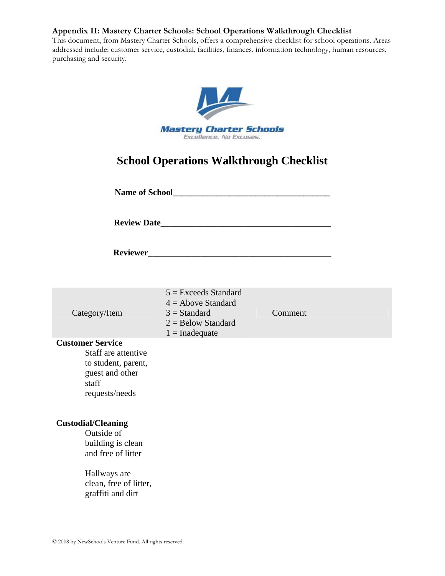#### **Appendix II: Mastery Charter Schools: School Operations Walkthrough Checklist**

This document, from Mastery Charter Schools, offers a comprehensive checklist for school operations. Areas addressed include: customer service, custodial, facilities, finances, information technology, human resources, purchasing and security.



## **School Operations Walkthrough Checklist**

Name of School

**Review Date** 

**Reviewer** 

| Category/Item | $5 =$ Exceeds Standard<br>$4 =$ Above Standard<br>$3 = Standard$<br>$2 =$ Below Standard<br>$1 = \text{Inadequate}$ | Comment |
|---------------|---------------------------------------------------------------------------------------------------------------------|---------|
|               |                                                                                                                     |         |

#### **Customer Service**

Staff are attentive to student, parent, guest and other staff requests/needs

#### **Custodial/Cleaning**

Outside of building is clean and free of litter

Hallways are clean, free of litter, graffiti and dirt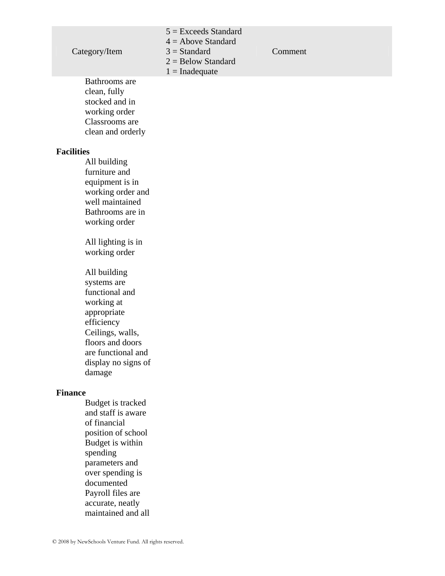| Category/Item     |                                                                                                                                                                               | $5 =$ Exceeds Standard<br>$4 =$ Above Standard<br>$3 = Standard$<br>$2 =$ Below Standard | Comment |
|-------------------|-------------------------------------------------------------------------------------------------------------------------------------------------------------------------------|------------------------------------------------------------------------------------------|---------|
|                   | Bathrooms are<br>clean, fully<br>stocked and in<br>working order<br>Classrooms are<br>clean and orderly                                                                       | $1 = \text{Inadequate}$                                                                  |         |
| <b>Facilities</b> | All building<br>furniture and<br>equipment is in<br>working order and<br>well maintained<br>Bathrooms are in<br>working order<br>All lighting is in<br>working order          |                                                                                          |         |
| damage            | All building<br>systems are<br>functional and<br>working at<br>appropriate<br>efficiency<br>Ceilings, walls,<br>floors and doors<br>are functional and<br>display no signs of |                                                                                          |         |
| <b>Finance</b>    | Budget is tracked                                                                                                                                                             |                                                                                          |         |
|                   | and staff is aware<br>of financial<br>position of school<br>Budget is within<br>spending<br>parameters and<br>over spending is<br>documented                                  |                                                                                          |         |

Payroll files are

accurate, neatly maintained and all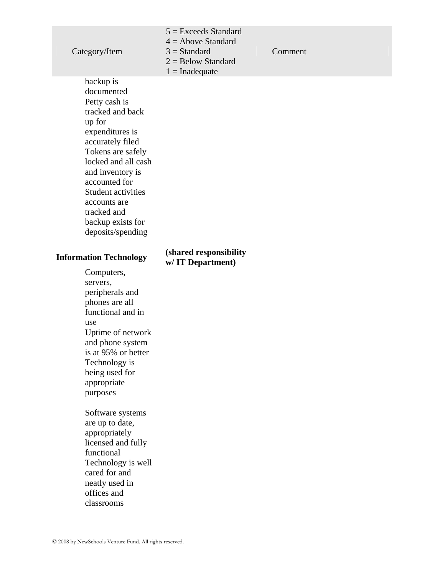|                                                                                                                                                                                                                                                                                                                                                                                                         | $5 =$ Exceeds Standard<br>$4 =$ Above Standard                    |         |
|---------------------------------------------------------------------------------------------------------------------------------------------------------------------------------------------------------------------------------------------------------------------------------------------------------------------------------------------------------------------------------------------------------|-------------------------------------------------------------------|---------|
| Category/Item                                                                                                                                                                                                                                                                                                                                                                                           | $3 = Standard$<br>$2 =$ Below Standard<br>$1 = \text{Inadequate}$ | Comment |
| backup is<br>documented<br>Petty cash is<br>tracked and back<br>up for<br>expenditures is<br>accurately filed<br>Tokens are safely<br>locked and all cash<br>and inventory is<br>accounted for<br><b>Student activities</b><br>accounts are<br>tracked and<br>backup exists for<br>deposits/spending                                                                                                    |                                                                   |         |
| <b>Information Technology</b>                                                                                                                                                                                                                                                                                                                                                                           | (shared responsibility<br>w/IT Department)                        |         |
| Computers,<br>servers,<br>peripherals and<br>phones are all<br>functional and in<br>use<br>Uptime of network<br>and phone system<br>is at 95% or better<br>Technology is<br>being used for<br>appropriate<br>purposes<br>Software systems<br>are up to date,<br>appropriately<br>licensed and fully<br>functional<br>Technology is well<br>cared for and<br>neatly used in<br>offices and<br>classrooms |                                                                   |         |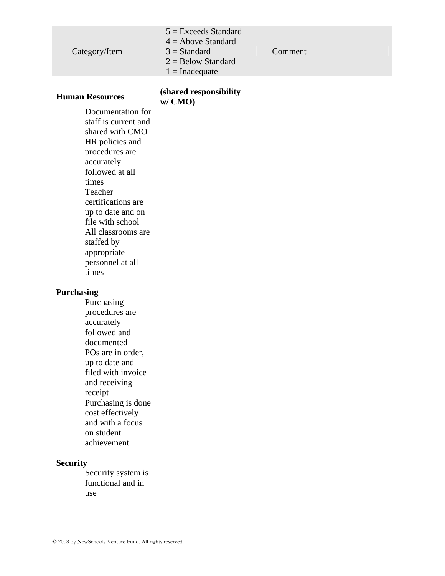|               | $5 =$ Exceeds Standard                                           |         |
|---------------|------------------------------------------------------------------|---------|
|               | $4 =$ Above Standard                                             |         |
| Category/Item | $3 = Standard$<br>$2 =$ Below Standard<br>$1 = \text{Indequate}$ | Comment |
|               |                                                                  |         |

### **Human Resources (shared responsibility**

**w/ CMO)** 

Documentation for staff is current and shared with CMO HR policies and procedures are accurately followed at all times Teacher certifications are up to date and on file with school All classrooms are staffed by appropriate personnel at all times

#### **Purchasing**

Purchasing procedures are accurately followed and documented POs are in order, up to date and filed with invoice and receiving receipt Purchasing is done cost effectively and with a focus on student achievement

#### **Security**

Security system is functional and in use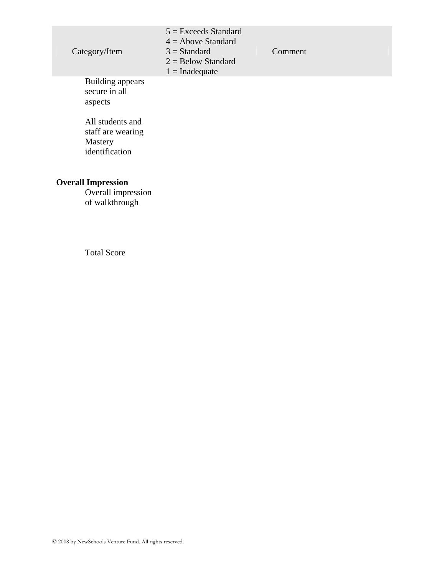|                  | $5 =$ Exceeds Standard<br>$4 =$ Above Standard                    |         |  |  |  |
|------------------|-------------------------------------------------------------------|---------|--|--|--|
| Category/Item    | $3 = Standard$<br>$2 =$ Below Standard<br>$1 = \text{Inadequate}$ | Comment |  |  |  |
| Building appears |                                                                   |         |  |  |  |

secure in all aspects

All students and staff are wearing Mastery identification

### **Overall Impression**

Overall impression of walkthrough

Total Score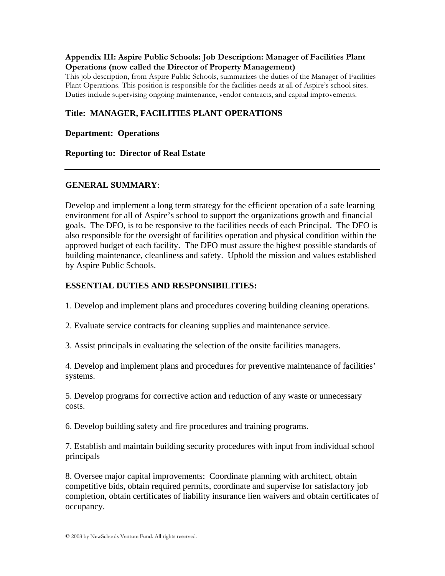#### **Appendix III: Aspire Public Schools: Job Description: Manager of Facilities Plant Operations (now called the Director of Property Management)**

This job description, from Aspire Public Schools, summarizes the duties of the Manager of Facilities Plant Operations. This position is responsible for the facilities needs at all of Aspire's school sites. Duties include supervising ongoing maintenance, vendor contracts, and capital improvements.

#### **Title: MANAGER, FACILITIES PLANT OPERATIONS**

#### **Department: Operations**

#### **Reporting to: Director of Real Estate**

#### **GENERAL SUMMARY**:

Develop and implement a long term strategy for the efficient operation of a safe learning environment for all of Aspire's school to support the organizations growth and financial goals. The DFO, is to be responsive to the facilities needs of each Principal. The DFO is also responsible for the oversight of facilities operation and physical condition within the approved budget of each facility. The DFO must assure the highest possible standards of building maintenance, cleanliness and safety. Uphold the mission and values established by Aspire Public Schools.

#### **ESSENTIAL DUTIES AND RESPONSIBILITIES:**

1. Develop and implement plans and procedures covering building cleaning operations.

2. Evaluate service contracts for cleaning supplies and maintenance service.

3. Assist principals in evaluating the selection of the onsite facilities managers.

4. Develop and implement plans and procedures for preventive maintenance of facilities' systems.

5. Develop programs for corrective action and reduction of any waste or unnecessary costs.

6. Develop building safety and fire procedures and training programs.

7. Establish and maintain building security procedures with input from individual school principals

8. Oversee major capital improvements: Coordinate planning with architect, obtain competitive bids, obtain required permits, coordinate and supervise for satisfactory job completion, obtain certificates of liability insurance lien waivers and obtain certificates of occupancy.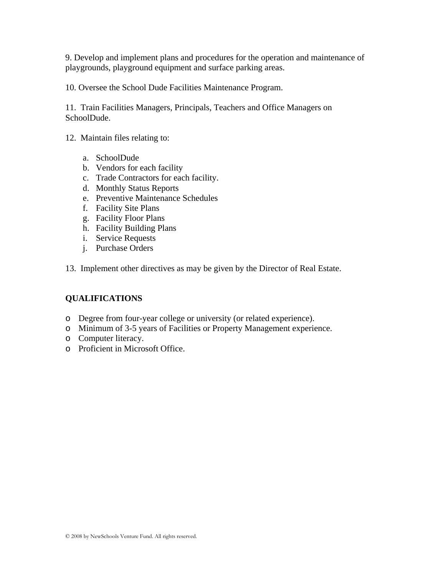9. Develop and implement plans and procedures for the operation and maintenance of playgrounds, playground equipment and surface parking areas.

10. Oversee the School Dude Facilities Maintenance Program.

11. Train Facilities Managers, Principals, Teachers and Office Managers on SchoolDude.

- 12. Maintain files relating to:
	- a. SchoolDude
	- b. Vendors for each facility
	- c. Trade Contractors for each facility.
	- d. Monthly Status Reports
	- e. Preventive Maintenance Schedules
	- f. Facility Site Plans
	- g. Facility Floor Plans
	- h. Facility Building Plans
	- i. Service Requests
	- j. Purchase Orders
- 13. Implement other directives as may be given by the Director of Real Estate.

#### **QUALIFICATIONS**

- o Degree from four-year college or university (or related experience).
- o Minimum of 3-5 years of Facilities or Property Management experience.
- o Computer literacy.
- o Proficient in Microsoft Office.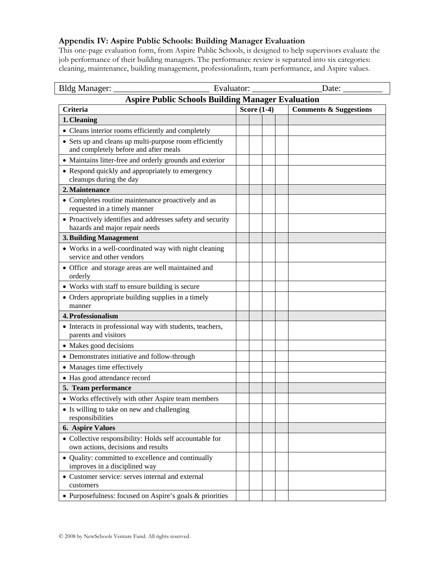### **Appendix IV: Aspire Public Schools: Building Manager Evaluation**

This one-page evaluation form, from Aspire Public Schools, is designed to help supervisors evaluate the job performance of their building managers. The performance review is separated into six categories: cleaning, maintenance, building management, professionalism, team performance, and Aspire values.

| <b>Bldg Manager:</b><br>Evaluator:<br>Date:                                                     |  |                    |  |                                   |
|-------------------------------------------------------------------------------------------------|--|--------------------|--|-----------------------------------|
| <b>Aspire Public Schools Building Manager Evaluation</b>                                        |  |                    |  |                                   |
| Criteria                                                                                        |  | <b>Score (1-4)</b> |  | <b>Comments &amp; Suggestions</b> |
| 1. Cleaning                                                                                     |  |                    |  |                                   |
| • Cleans interior rooms efficiently and completely                                              |  |                    |  |                                   |
| • Sets up and cleans up multi-purpose room efficiently<br>and completely before and after meals |  |                    |  |                                   |
| • Maintains litter-free and orderly grounds and exterior                                        |  |                    |  |                                   |
| • Respond quickly and appropriately to emergency<br>cleanups during the day                     |  |                    |  |                                   |
| 2. Maintenance                                                                                  |  |                    |  |                                   |
| • Completes routine maintenance proactively and as<br>requested in a timely manner              |  |                    |  |                                   |
| • Proactively identifies and addresses safety and security<br>hazards and major repair needs    |  |                    |  |                                   |
| 3. Building Management                                                                          |  |                    |  |                                   |
| • Works in a well-coordinated way with night cleaning<br>service and other vendors              |  |                    |  |                                   |
| • Office and storage areas are well maintained and<br>orderly                                   |  |                    |  |                                   |
| • Works with staff to ensure building is secure                                                 |  |                    |  |                                   |
| • Orders appropriate building supplies in a timely<br>manner                                    |  |                    |  |                                   |
| 4. Professionalism                                                                              |  |                    |  |                                   |
| • Interacts in professional way with students, teachers,<br>parents and visitors                |  |                    |  |                                   |
| • Makes good decisions                                                                          |  |                    |  |                                   |
| • Demonstrates initiative and follow-through                                                    |  |                    |  |                                   |
| • Manages time effectively                                                                      |  |                    |  |                                   |
| • Has good attendance record                                                                    |  |                    |  |                                   |
| 5. Team performance                                                                             |  |                    |  |                                   |
| • Works effectively with other Aspire team members                                              |  |                    |  |                                   |
| • Is willing to take on new and challenging<br>responsibilities                                 |  |                    |  |                                   |
| <b>6. Aspire Values</b>                                                                         |  |                    |  |                                   |
| • Collective responsibility: Holds self accountable for<br>own actions, decisions and results   |  |                    |  |                                   |
| • Quality: committed to excellence and continually<br>improves in a disciplined way             |  |                    |  |                                   |
| • Customer service: serves internal and external<br>customers                                   |  |                    |  |                                   |
| • Purposefulness: focused on Aspire's goals & priorities                                        |  |                    |  |                                   |